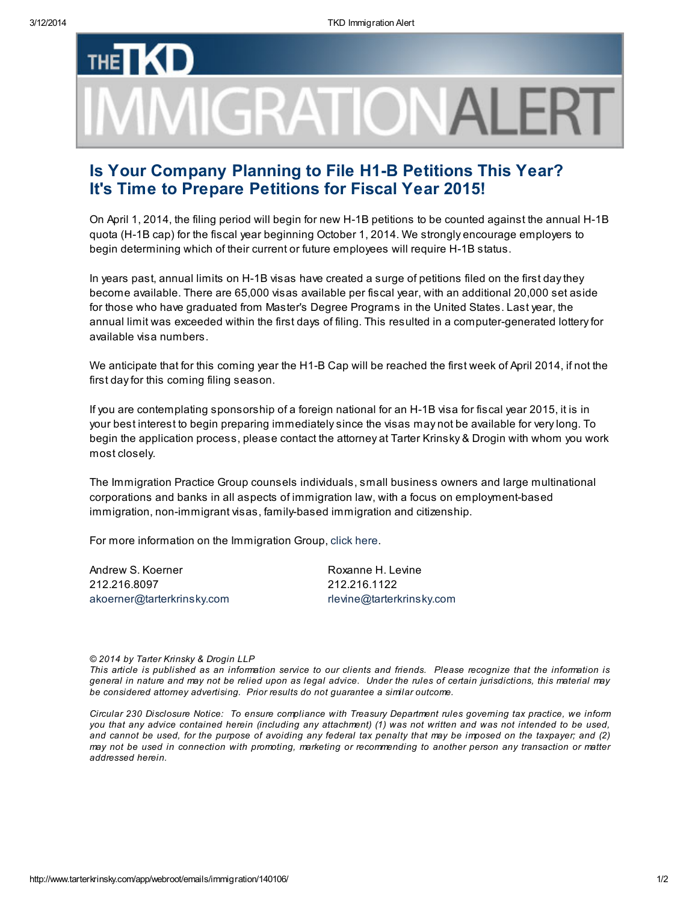## **THE MIGRATIONALI**

## Is Your Company Planning to File H1-B Petitions This Year? It's Time to Prepare Petitions for Fiscal Year 2015!

On April 1, 2014, the filing period will begin for new H-1B petitions to be counted against the annual H-1B quota (H-1B cap) for the fiscal year beginning October 1, 2014. We strongly encourage employers to begin determining which of their current or future employees will require H-1B status.

In years past, annual limits on H-1B visas have created a surge of petitions filed on the first day they become available. There are 65,000 visas available per fiscal year, with an additional 20,000 set aside for those who have graduated from Master's Degree Programs in the United States. Last year, the annual limit was exceeded within the first days of filing. This resulted in a computer-generated lottery for available visa numbers.

We anticipate that for this coming year the H<sub>1</sub>-B Cap will be reached the first week of April 2014, if not the first day for this coming filing season.

If you are contemplating sponsorship of a foreign national for an H-1B visa for fiscal year 2015, it is in your best interest to begin preparing immediately since the visas may not be available for very long. To begin the application process, please contact the attorney at Tarter Krinsky & Drogin with whom you work most closely.

The Immigration Practice Group counsels individuals, small business owners and large multinational corporations and banks in all aspects of immigration law, with a focus on employment-based immigration, non-immigrant visas, family-based immigration and citizenship.

For more information on the Immigration Group, click [here](http://www.tarterkrinsky.com/pages/practice_areas/immigration.html).

Andrew S. Koerner 212.216.8097 [akoerner@tarterkrinsky.com](mailto:akoerner@tarterkrinsky.com)

Roxanne H. Levine 212.216.1122 [rlevine@tarterkrinsky.com](mailto:rlevine@tarterkrinsky.com)

© 2014 by Tarter Krinsky & Drogin LLP

This article is published as an information service to our clients and friends. Please recognize that the information is general in nature and may not be relied upon as legal advice. Under the rules of certain jurisdictions, this material may be considered attorney advertising. Prior results do not guarantee a similar outcome.

Circular 230 Disclosure Notice: To ensure compliance with Treasury Department rules governing tax practice, we inform you that any advice contained herein (including any attachment) (1) was not written and was not intended to be used, and cannot be used, for the purpose of avoiding any federal tax penalty that may be imposed on the taxpayer; and (2) may not be used in connection with promoting, marketing or recommending to another person any transaction or matter addressed herein.